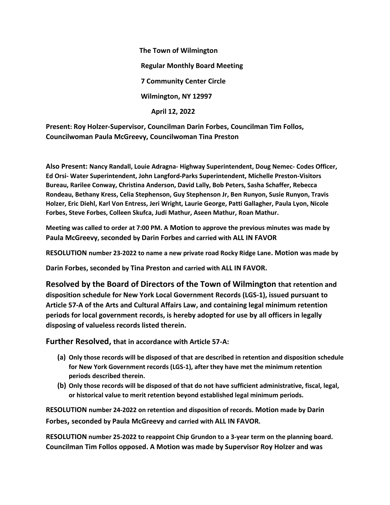**The Town of Wilmington Regular Monthly Board Meeting 7 Community Center Circle Wilmington, NY 12997 April 12, 2022**

**Present: Roy Holzer-Supervisor, Councilman Darin Forbes, Councilman Tim Follos, Councilwoman Paula McGreevy, Councilwoman Tina Preston**

**Also Present: Nancy Randall, Louie Adragna- Highway Superintendent, Doug Nemec- Codes Officer, Ed Orsi- Water Superintendent, John Langford-Parks Superintendent, Michelle Preston-Visitors Bureau, Rarilee Conway, Christina Anderson, David Lally, Bob Peters, Sasha Schaffer, Rebecca Rondeau, Bethany Kress, Celia Stephenson, Guy Stephenson Jr, Ben Runyon, Susie Runyon, Travis Holzer, Eric Diehl, Karl Von Entress, Jeri Wright, Laurie George, Patti Gallagher, Paula Lyon, Nicole Forbes, Steve Forbes, Colleen Skufca, Judi Mathur, Aseen Mathur, Roan Mathur.**

**Meeting was called to order at 7:00 PM. A Motion to approve the previous minutes was made by Paula McGreevy, seconded by Darin Forbes and carried with ALL IN FAVOR**

**RESOLUTION number 23-2022 to name a new private road Rocky Ridge Lane. Motion was made by**

**Darin Forbes, seconded by Tina Preston and carried with ALL IN FAVOR.**

**Resolved by the Board of Directors of the Town of Wilmington that retention and disposition schedule for New York Local Government Records (LGS-1), issued pursuant to Article 57-A of the Arts and Cultural Affairs Law, and containing legal minimum retention periods for local government records, is hereby adopted for use by all officers in legally disposing of valueless records listed therein.** 

**Further Resolved, that in accordance with Article 57-A:**

- **(a) Only those records will be disposed of that are described in retention and disposition schedule for New York Government records (LGS-1), after they have met the minimum retention periods described therein.**
- **(b) Only those records will be disposed of that do not have sufficient administrative, fiscal, legal, or historical value to merit retention beyond established legal minimum periods.**

**RESOLUTION number 24-2022 on retention and disposition of records. Motion made by Darin Forbes, seconded by Paula McGreevy and carried with ALL IN FAVOR.**

**RESOLUTION number 25-2022 to reappoint Chip Grundon to a 3-year term on the planning board. Councilman Tim Follos opposed. A Motion was made by Supervisor Roy Holzer and was**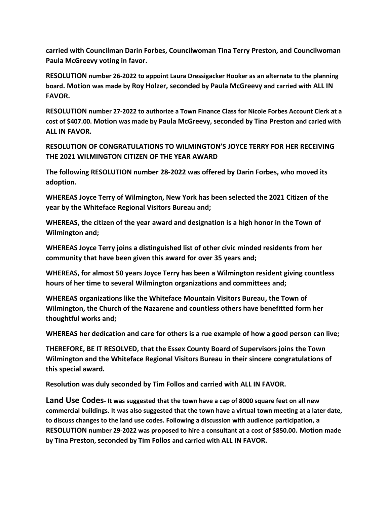**carried with Councilman Darin Forbes, Councilwoman Tina Terry Preston, and Councilwoman Paula McGreevy voting in favor.**

**RESOLUTION number 26-2022 to appoint Laura Dressigacker Hooker as an alternate to the planning board. Motion was made by Roy Holzer, seconded by Paula McGreevy and carried with ALL IN FAVOR.**

**RESOLUTION number 27-2022 to authorize a Town Finance Class for Nicole Forbes Account Clerk at a cost of \$407.00. Motion was made by Paula McGreevy, seconded by Tina Preston and caried with ALL IN FAVOR.**

**RESOLUTION OF CONGRATULATIONS TO WILMINGTON'S JOYCE TERRY FOR HER RECEIVING THE 2021 WILMINGTON CITIZEN OF THE YEAR AWARD**

**The following RESOLUTION number 28-2022 was offered by Darin Forbes, who moved its adoption.**

**WHEREAS Joyce Terry of Wilmington, New York has been selected the 2021 Citizen of the year by the Whiteface Regional Visitors Bureau and;**

**WHEREAS, the citizen of the year award and designation is a high honor in the Town of Wilmington and;**

**WHEREAS Joyce Terry joins a distinguished list of other civic minded residents from her community that have been given this award for over 35 years and;**

**WHEREAS, for almost 50 years Joyce Terry has been a Wilmington resident giving countless hours of her time to several Wilmington organizations and committees and;**

**WHEREAS organizations like the Whiteface Mountain Visitors Bureau, the Town of Wilmington, the Church of the Nazarene and countless others have benefitted form her thoughtful works and;**

**WHEREAS her dedication and care for others is a rue example of how a good person can live;**

**THEREFORE, BE IT RESOLVED, that the Essex County Board of Supervisors joins the Town Wilmington and the Whiteface Regional Visitors Bureau in their sincere congratulations of this special award.**

**Resolution was duly seconded by Tim Follos and carried with ALL IN FAVOR.**

**Land Use Codes- It was suggested that the town have a cap of 8000 square feet on all new commercial buildings. It was also suggested that the town have a virtual town meeting at a later date, to discuss changes to the land use codes. Following a discussion with audience participation, a RESOLUTION number 29-2022 was proposed to hire a consultant at a cost of \$850.00. Motion made by Tina Preston, seconded by Tim Follos and carried with ALL IN FAVOR.**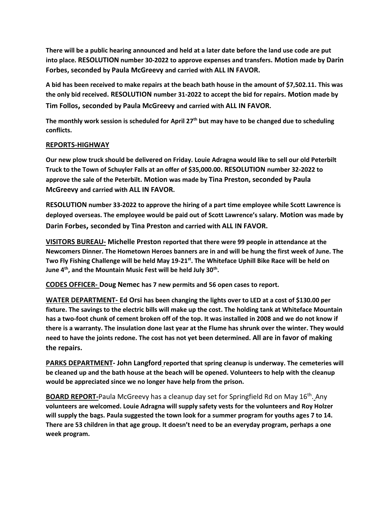**There will be a public hearing announced and held at a later date before the land use code are put into place. RESOLUTION number 30-2022 to approve expenses and transfers. Motion made by Darin Forbes, seconded by Paula McGreevy and carried with ALL IN FAVOR.**

**A bid has been received to make repairs at the beach bath house in the amount of \$7,502.11. This was the only bid received. RESOLUTION number 31-2022 to accept the bid for repairs. Motion made by Tim Follos, seconded by Paula McGreevy and carried with ALL IN FAVOR.**

**The monthly work session is scheduled for April 27th but may have to be changed due to scheduling conflicts.**

## **REPORTS-HIGHWAY**

**Our new plow truck should be delivered on Friday. Louie Adragna would like to sell our old Peterbilt Truck to the Town of Schuyler Falls at an offer of \$35,000.00. RESOLUTION number 32-2022 to approve the sale of the Peterbilt. Motion was made by Tina Preston, seconded by Paula McGreevy and carried with ALL IN FAVOR.**

**RESOLUTION number 33-2022 to approve the hiring of a part time employee while Scott Lawrence is deployed overseas. The employee would be paid out of Scott Lawrence's salary. Motion was made by Darin Forbes, seconded by Tina Preston and carried with ALL IN FAVOR.**

**VISITORS BUREAU- Michelle Preston reported that there were 99 people in attendance at the Newcomers Dinner. The Hometown Heroes banners are in and will be hung the first week of June. The Two Fly Fishing Challenge will be held May 19-21st . The Whiteface Uphill Bike Race will be held on June 4th, and the Mountain Music Fest will be held July 30th .**

**CODES OFFICER- Doug Nemec has 7 new permits and 56 open cases to report.**

**WATER DEPARTMENT- Ed Orsi has been changing the lights over to LED at a cost of \$130.00 per fixture. The savings to the electric bills will make up the cost. The holding tank at Whiteface Mountain has a two-foot chunk of cement broken off of the top. It was installed in 2008 and we do not know if there is a warranty. The insulation done last year at the Flume has shrunk over the winter. They would need to have the joints redone. The cost has not yet been determined. All are in favor of making the repairs.**

**PARKS DEPARTMENT- John Langford reported that spring cleanup is underway. The cemeteries will be cleaned up and the bath house at the beach will be opened. Volunteers to help with the cleanup would be appreciated since we no longer have help from the prison.**

**BOARD REPORT-**Paula McGreevy has a cleanup day set for Springfield Rd on May 16th . Any **volunteers are welcomed. Louie Adragna will supply safety vests for the volunteers and Roy Holzer will supply the bags. Paula suggested the town look for a summer program for youths ages 7 to 14. There are 53 children in that age group. It doesn't need to be an everyday program, perhaps a one week program.**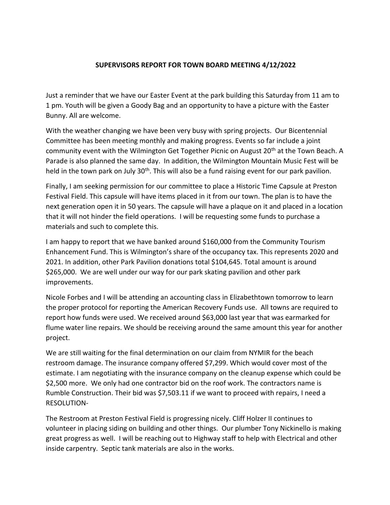## **SUPERVISORS REPORT FOR TOWN BOARD MEETING 4/12/2022**

Just a reminder that we have our Easter Event at the park building this Saturday from 11 am to 1 pm. Youth will be given a Goody Bag and an opportunity to have a picture with the Easter Bunny. All are welcome.

With the weather changing we have been very busy with spring projects. Our Bicentennial Committee has been meeting monthly and making progress. Events so far include a joint community event with the Wilmington Get Together Picnic on August 20<sup>th</sup> at the Town Beach. A Parade is also planned the same day. In addition, the Wilmington Mountain Music Fest will be held in the town park on July 30<sup>th</sup>. This will also be a fund raising event for our park pavilion.

Finally, I am seeking permission for our committee to place a Historic Time Capsule at Preston Festival Field. This capsule will have items placed in it from our town. The plan is to have the next generation open it in 50 years. The capsule will have a plaque on it and placed in a location that it will not hinder the field operations. I will be requesting some funds to purchase a materials and such to complete this.

I am happy to report that we have banked around \$160,000 from the Community Tourism Enhancement Fund. This is Wilmington's share of the occupancy tax. This represents 2020 and 2021. In addition, other Park Pavilion donations total \$104,645. Total amount is around \$265,000. We are well under our way for our park skating pavilion and other park improvements.

Nicole Forbes and I will be attending an accounting class in Elizabethtown tomorrow to learn the proper protocol for reporting the American Recovery Funds use. All towns are required to report how funds were used. We received around \$63,000 last year that was earmarked for flume water line repairs. We should be receiving around the same amount this year for another project.

We are still waiting for the final determination on our claim from NYMIR for the beach restroom damage. The insurance company offered \$7,299. Which would cover most of the estimate. I am negotiating with the insurance company on the cleanup expense which could be \$2,500 more. We only had one contractor bid on the roof work. The contractors name is Rumble Construction. Their bid was \$7,503.11 if we want to proceed with repairs, I need a RESOLUTION-

The Restroom at Preston Festival Field is progressing nicely. Cliff Holzer II continues to volunteer in placing siding on building and other things. Our plumber Tony Nickinello is making great progress as well. I will be reaching out to Highway staff to help with Electrical and other inside carpentry. Septic tank materials are also in the works.